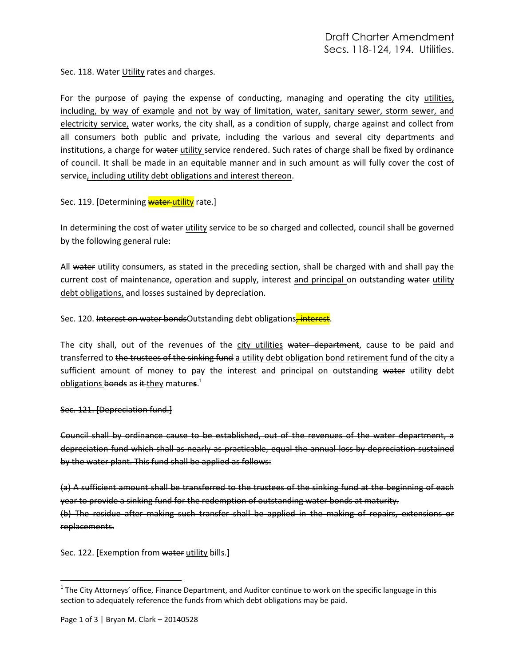Sec. 118. Water Utility rates and charges.

For the purpose of paying the expense of conducting, managing and operating the city utilities, including, by way of example and not by way of limitation, water, sanitary sewer, storm sewer, and electricity service, water works, the city shall, as a condition of supply, charge against and collect from all consumers both public and private, including the various and several city departments and institutions, a charge for water utility service rendered. Such rates of charge shall be fixed by ordinance of council. It shall be made in an equitable manner and in such amount as will fully cover the cost of service, including utility debt obligations and interest thereon.

Sec. 119. [Determining **water utility** rate.]

In determining the cost of water utility service to be so charged and collected, council shall be governed by the following general rule:

All water utility consumers, as stated in the preceding section, shall be charged with and shall pay the current cost of maintenance, operation and supply, interest and principal on outstanding water utility debt obligations, and losses sustained by depreciation.

Sec. 120. Interest on water bondsOutstanding debt obligations, interest.

The city shall, out of the revenues of the city utilities water department, cause to be paid and transferred to the trustees of the sinking fund a utility debt obligation bond retirement fund of the city a sufficient amount of money to pay the interest and principal on outstanding water utility debt obligations bonds as it they mature**s**. 1

## Sec. 121. [Depreciation fund.]

replacements.

l

Council shall by ordinance cause to be established, out of the revenues of the water department, a depreciation fund which shall as nearly as practicable, equal the annual loss by depreciation sustained by the water plant. This fund shall be applied as follows:

(a) A sufficient amount shall be transferred to the trustees of the sinking fund at the beginning of each year to provide a sinking fund for the redemption of outstanding water bonds at maturity. (b) The residue after making such transfer shall be applied in the making of repairs, extensions or

Sec. 122. [Exemption from water utility bills.]

 $1$  The City Attorneys' office, Finance Department, and Auditor continue to work on the specific language in this section to adequately reference the funds from which debt obligations may be paid.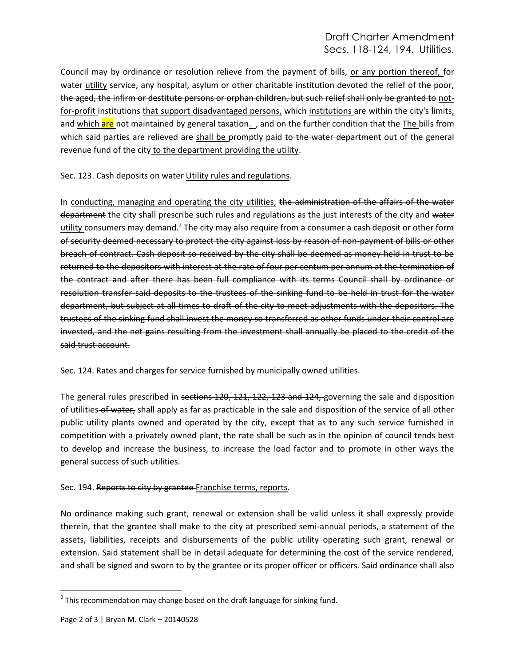## Draft Charter Amendment Secs. 118-124, 194. Utilities.

Council may by ordinance or resolution relieve from the payment of bills, or any portion thereof, for water utility service, any hospital, asylum or other charitable institution devoted the relief of the poor, the aged, the infirm or destitute persons or orphan children, but such relief shall only be granted to notfor-profit institutions that support disadvantaged persons, which institutions are within the city's limits, and which are not maintained by general taxation. , and on the further condition that the The bills from which said parties are relieved are shall be promptly paid to the water department out of the general revenue fund of the city to the department providing the utility.

Sec. 123. Cash deposits on water Utility rules and regulations.

In conducting, managing and operating the city utilities, the administration of the affairs of the water department the city shall prescribe such rules and regulations as the just interests of the city and water utility consumers may demand.<sup>2</sup> The city may also require from a consumer a cash deposit or other form of security deemed necessary to protect the city against loss by reason of non-payment of bills or other breach of contract. Cash deposit so received by the city shall be deemed as money held in trust to be returned to the depositors with interest at the rate of four per centum per annum at the termination of the contract and after there has been full compliance with its terms Council shall by ordinance or resolution transfer said deposits to the trustees of the sinking fund to be held in trust for the water department, but subject at all times to draft of the city to meet adjustments with the depositors. The trustees of the sinking fund shall invest the money so transferred as other funds under their control are invested, and the net gains resulting from the investment shall annually be placed to the credit of the said trust account.

Sec. 124. Rates and charges for service furnished by municipally owned utilities.

The general rules prescribed in sections 120, 121, 122, 123 and 124, governing the sale and disposition of utilities of water, shall apply as far as practicable in the sale and disposition of the service of all other public utility plants owned and operated by the city, except that as to any such service furnished in competition with a privately owned plant, the rate shall be such as in the opinion of council tends best to develop and increase the business, to increase the load factor and to promote in other ways the general success of such utilities.

## Sec. 194. Reports to city by grantee Franchise terms, reports.

No ordinance making such grant, renewal or extension shall be valid unless it shall expressly provide therein, that the grantee shall make to the city at prescribed semi-annual periods, a statement of the assets, liabilities, receipts and disbursements of the public utility operating such grant, renewal or extension. Said statement shall be in detail adequate for determining the cost of the service rendered, and shall be signed and sworn to by the grantee or its proper officer or officers. Said ordinance shall also

 $\overline{\phantom{a}}$  $^{2}$  This recommendation may change based on the draft language for sinking fund.